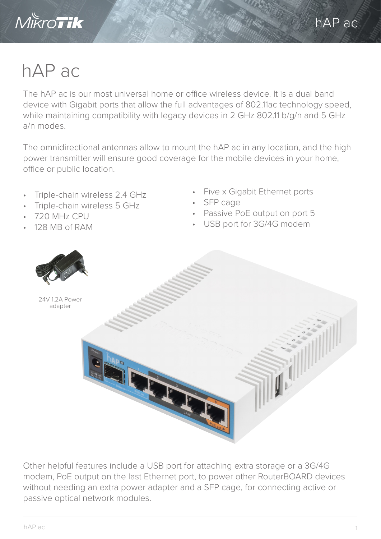

## hAP ac

The hAP ac is our most universal home or office wireless device. It is a dual band device with Gigabit ports that allow the full advantages of 802.11ac technology speed, while maintaining compatibility with legacy devices in 2 GHz 802.11 b/g/n and 5 GHz a/n modes.

The omnidirectional antennas allow to mount the hAP ac in any location, and the high power transmitter will ensure good coverage for the mobile devices in your home, office or public location.

- Triple-chain wireless 2.4 GHz
- Triple-chain wireless 5 GHz
- 720 MHz CPU
- 128 MB of RAM
- Five x Gigabit Ethernet ports
- SFP cage
- Passive PoE output on port 5
- USB port for 3G/4G modem



Other helpful features include a USB port for attaching extra storage or a 3G/4G modem, PoE output on the last Ethernet port, to power other RouterBOARD devices without needing an extra power adapter and a SFP cage, for connecting active or passive optical network modules.